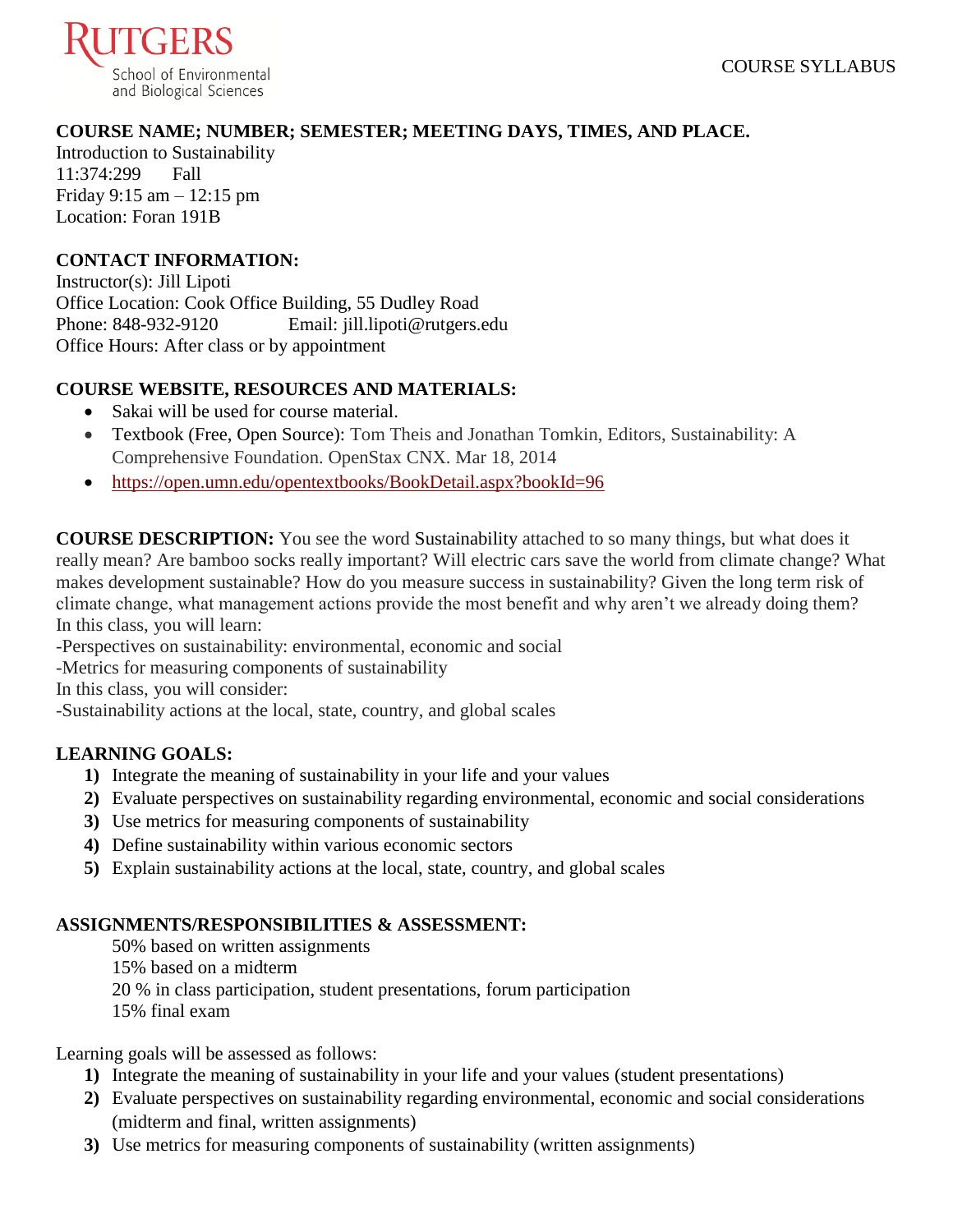

## **COURSE NAME; NUMBER; SEMESTER; MEETING DAYS, TIMES, AND PLACE.**

Introduction to Sustainability 11:374:299 Fall Friday 9:15 am – 12:15 pm Location: Foran 191B

### **CONTACT INFORMATION:**

Instructor(s): Jill Lipoti Office Location: Cook Office Building, 55 Dudley Road Phone: 848-932-9120 Email: jill.lipoti@rutgers.edu Office Hours: After class or by appointment

#### **COURSE WEBSITE, RESOURCES AND MATERIALS:**

- Sakai will be used for course material.
- Textbook (Free, Open Source): Tom Theis and Jonathan Tomkin, Editors, Sustainability: A Comprehensive Foundation. OpenStax CNX. Mar 18, 2014
- <https://open.umn.edu/opentextbooks/BookDetail.aspx?bookId=96>

**COURSE DESCRIPTION:** You see the word Sustainability attached to so many things, but what does it really mean? Are bamboo socks really important? Will electric cars save the world from climate change? What makes development sustainable? How do you measure success in sustainability? Given the long term risk of climate change, what management actions provide the most benefit and why aren't we already doing them? In this class, you will learn:

-Perspectives on sustainability: environmental, economic and social

-Metrics for measuring components of sustainability

In this class, you will consider:

-Sustainability actions at the local, state, country, and global scales

### **LEARNING GOALS:**

- **1)** Integrate the meaning of sustainability in your life and your values
- **2)** Evaluate perspectives on sustainability regarding environmental, economic and social considerations
- **3)** Use metrics for measuring components of sustainability
- **4)** Define sustainability within various economic sectors
- **5)** Explain sustainability actions at the local, state, country, and global scales

### **ASSIGNMENTS/RESPONSIBILITIES & ASSESSMENT:**

50% based on written assignments 15% based on a midterm 20 % in class participation, student presentations, forum participation 15% final exam

Learning goals will be assessed as follows:

- **1)** Integrate the meaning of sustainability in your life and your values (student presentations)
- **2)** Evaluate perspectives on sustainability regarding environmental, economic and social considerations (midterm and final, written assignments)
- **3)** Use metrics for measuring components of sustainability (written assignments)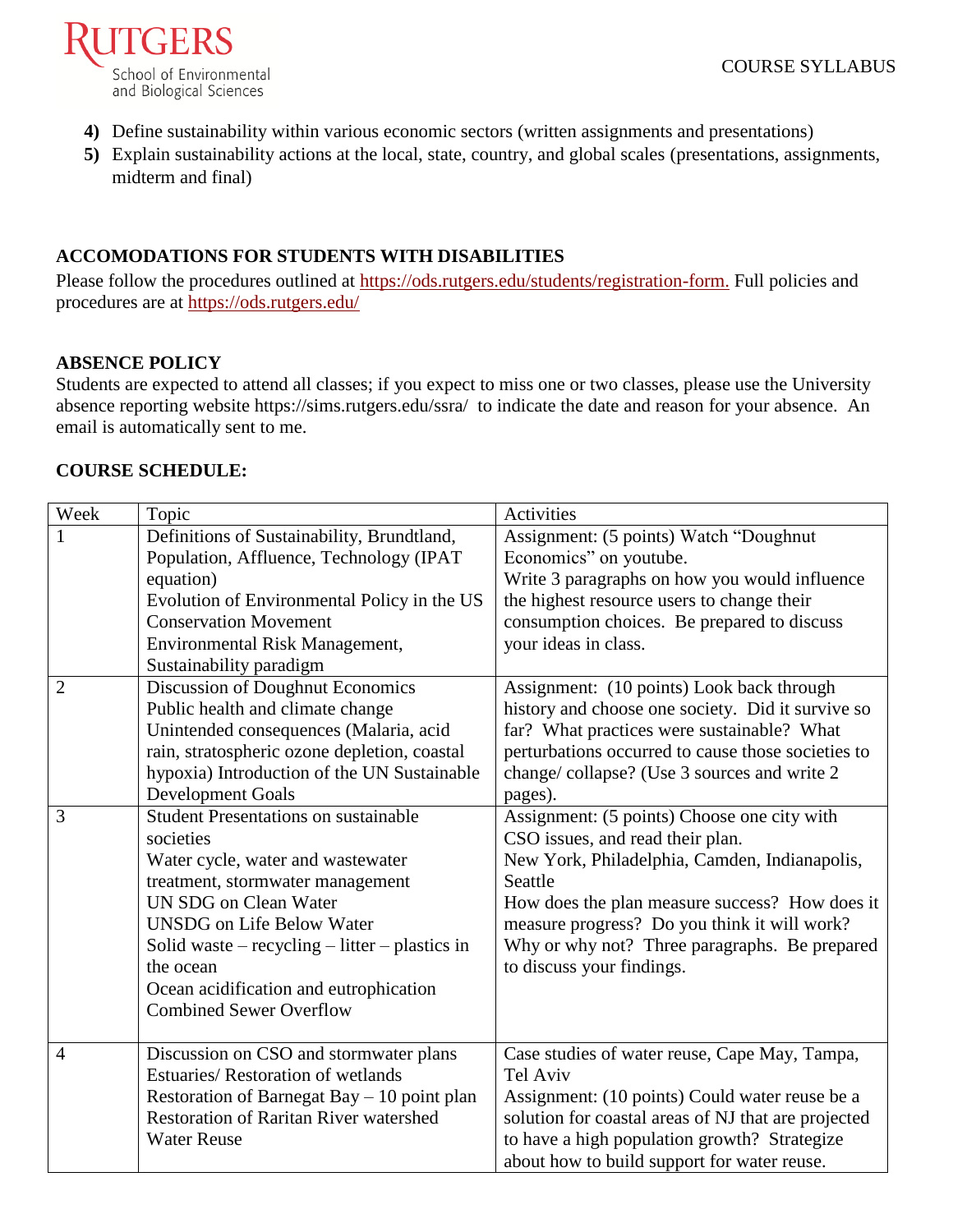

- **4)** Define sustainability within various economic sectors (written assignments and presentations)
- **5)** Explain sustainability actions at the local, state, country, and global scales (presentations, assignments, midterm and final)

## **ACCOMODATIONS FOR STUDENTS WITH DISABILITIES**

Please follow the procedures outlined at [https://ods.rutgers.edu/students/registration-form.](https://ods.rutgers.edu/students/registration-form) Full policies and procedures are at<https://ods.rutgers.edu/>

#### **ABSENCE POLICY**

Students are expected to attend all classes; if you expect to miss one or two classes, please use the University absence reporting website<https://sims.rutgers.edu/ssra/>to indicate the date and reason for your absence. An email is automatically sent to me.

### **COURSE SCHEDULE:**

| Week           | Topic                                          | Activities                                          |
|----------------|------------------------------------------------|-----------------------------------------------------|
|                | Definitions of Sustainability, Brundtland,     | Assignment: (5 points) Watch "Doughnut              |
|                | Population, Affluence, Technology (IPAT        | Economics" on youtube.                              |
|                | equation)                                      | Write 3 paragraphs on how you would influence       |
|                | Evolution of Environmental Policy in the US    | the highest resource users to change their          |
|                | <b>Conservation Movement</b>                   | consumption choices. Be prepared to discuss         |
|                | Environmental Risk Management,                 | your ideas in class.                                |
|                | Sustainability paradigm                        |                                                     |
| $\overline{2}$ | <b>Discussion of Doughnut Economics</b>        | Assignment: (10 points) Look back through           |
|                | Public health and climate change               | history and choose one society. Did it survive so   |
|                | Unintended consequences (Malaria, acid         | far? What practices were sustainable? What          |
|                | rain, stratospheric ozone depletion, coastal   | perturbations occurred to cause those societies to  |
|                | hypoxia) Introduction of the UN Sustainable    | change/collapse? (Use 3 sources and write 2         |
|                | <b>Development Goals</b>                       | pages).                                             |
| 3              | <b>Student Presentations on sustainable</b>    | Assignment: (5 points) Choose one city with         |
|                | societies                                      | CSO issues, and read their plan.                    |
|                | Water cycle, water and wastewater              | New York, Philadelphia, Camden, Indianapolis,       |
|                | treatment, stormwater management               | Seattle                                             |
|                | <b>UN SDG on Clean Water</b>                   | How does the plan measure success? How does it      |
|                | <b>UNSDG</b> on Life Below Water               | measure progress? Do you think it will work?        |
|                | Solid waste – recycling – litter – plastics in | Why or why not? Three paragraphs. Be prepared       |
|                | the ocean                                      | to discuss your findings.                           |
|                | Ocean acidification and eutrophication         |                                                     |
|                | <b>Combined Sewer Overflow</b>                 |                                                     |
|                |                                                |                                                     |
| $\overline{4}$ | Discussion on CSO and stormwater plans         | Case studies of water reuse, Cape May, Tampa,       |
|                | <b>Estuaries/ Restoration of wetlands</b>      | <b>Tel Aviv</b>                                     |
|                | Restoration of Barnegat Bay $-10$ point plan   | Assignment: (10 points) Could water reuse be a      |
|                | <b>Restoration of Raritan River watershed</b>  | solution for coastal areas of NJ that are projected |
|                | <b>Water Reuse</b>                             | to have a high population growth? Strategize        |
|                |                                                | about how to build support for water reuse.         |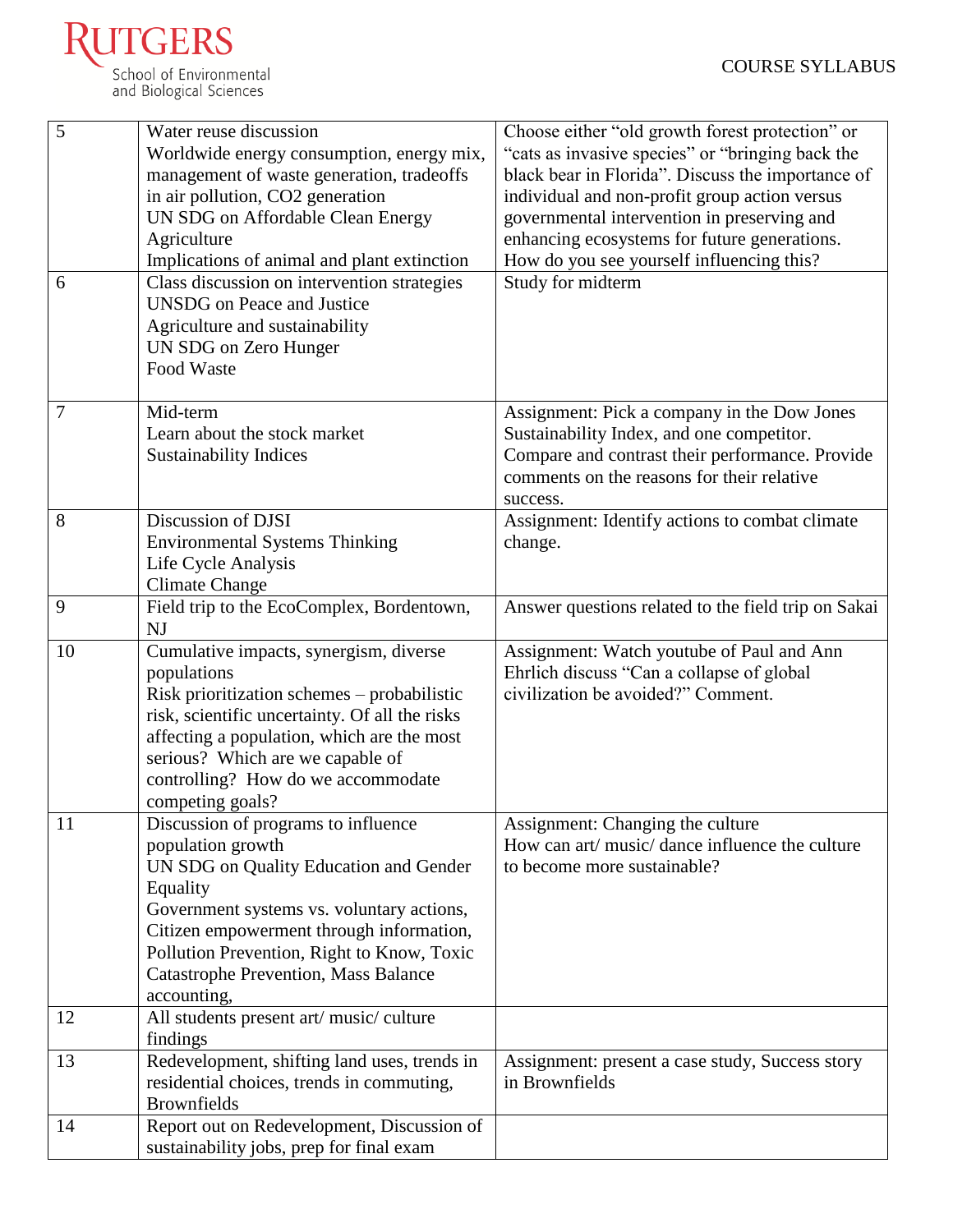

| 5<br>6 | Water reuse discussion<br>Worldwide energy consumption, energy mix,<br>management of waste generation, tradeoffs<br>in air pollution, CO2 generation<br>UN SDG on Affordable Clean Energy<br>Agriculture<br>Implications of animal and plant extinction<br>Class discussion on intervention strategies              | Choose either "old growth forest protection" or<br>"cats as invasive species" or "bringing back the<br>black bear in Florida". Discuss the importance of<br>individual and non-profit group action versus<br>governmental intervention in preserving and<br>enhancing ecosystems for future generations.<br>How do you see yourself influencing this?<br>Study for midterm |
|--------|---------------------------------------------------------------------------------------------------------------------------------------------------------------------------------------------------------------------------------------------------------------------------------------------------------------------|----------------------------------------------------------------------------------------------------------------------------------------------------------------------------------------------------------------------------------------------------------------------------------------------------------------------------------------------------------------------------|
|        | <b>UNSDG</b> on Peace and Justice<br>Agriculture and sustainability<br>UN SDG on Zero Hunger<br>Food Waste                                                                                                                                                                                                          |                                                                                                                                                                                                                                                                                                                                                                            |
| 7      | Mid-term<br>Learn about the stock market<br><b>Sustainability Indices</b>                                                                                                                                                                                                                                           | Assignment: Pick a company in the Dow Jones<br>Sustainability Index, and one competitor.<br>Compare and contrast their performance. Provide<br>comments on the reasons for their relative<br>success.                                                                                                                                                                      |
| 8      | Discussion of DJSI<br><b>Environmental Systems Thinking</b><br>Life Cycle Analysis<br><b>Climate Change</b>                                                                                                                                                                                                         | Assignment: Identify actions to combat climate<br>change.                                                                                                                                                                                                                                                                                                                  |
| 9      | Field trip to the EcoComplex, Bordentown,<br>NJ                                                                                                                                                                                                                                                                     | Answer questions related to the field trip on Sakai                                                                                                                                                                                                                                                                                                                        |
| 10     | Cumulative impacts, synergism, diverse<br>populations<br>Risk prioritization schemes – probabilistic<br>risk, scientific uncertainty. Of all the risks<br>affecting a population, which are the most<br>serious? Which are we capable of<br>controlling? How do we accommodate<br>competing goals?                  | Assignment: Watch youtube of Paul and Ann<br>Ehrlich discuss "Can a collapse of global"<br>civilization be avoided?" Comment.                                                                                                                                                                                                                                              |
| 11     | Discussion of programs to influence<br>population growth<br>UN SDG on Quality Education and Gender<br>Equality<br>Government systems vs. voluntary actions,<br>Citizen empowerment through information,<br>Pollution Prevention, Right to Know, Toxic<br><b>Catastrophe Prevention, Mass Balance</b><br>accounting, | Assignment: Changing the culture<br>How can art/ music/ dance influence the culture<br>to become more sustainable?                                                                                                                                                                                                                                                         |
| 12     | All students present art/ music/ culture<br>findings                                                                                                                                                                                                                                                                |                                                                                                                                                                                                                                                                                                                                                                            |
| 13     | Redevelopment, shifting land uses, trends in<br>residential choices, trends in commuting,<br><b>Brownfields</b>                                                                                                                                                                                                     | Assignment: present a case study, Success story<br>in Brownfields                                                                                                                                                                                                                                                                                                          |
| 14     | Report out on Redevelopment, Discussion of<br>sustainability jobs, prep for final exam                                                                                                                                                                                                                              |                                                                                                                                                                                                                                                                                                                                                                            |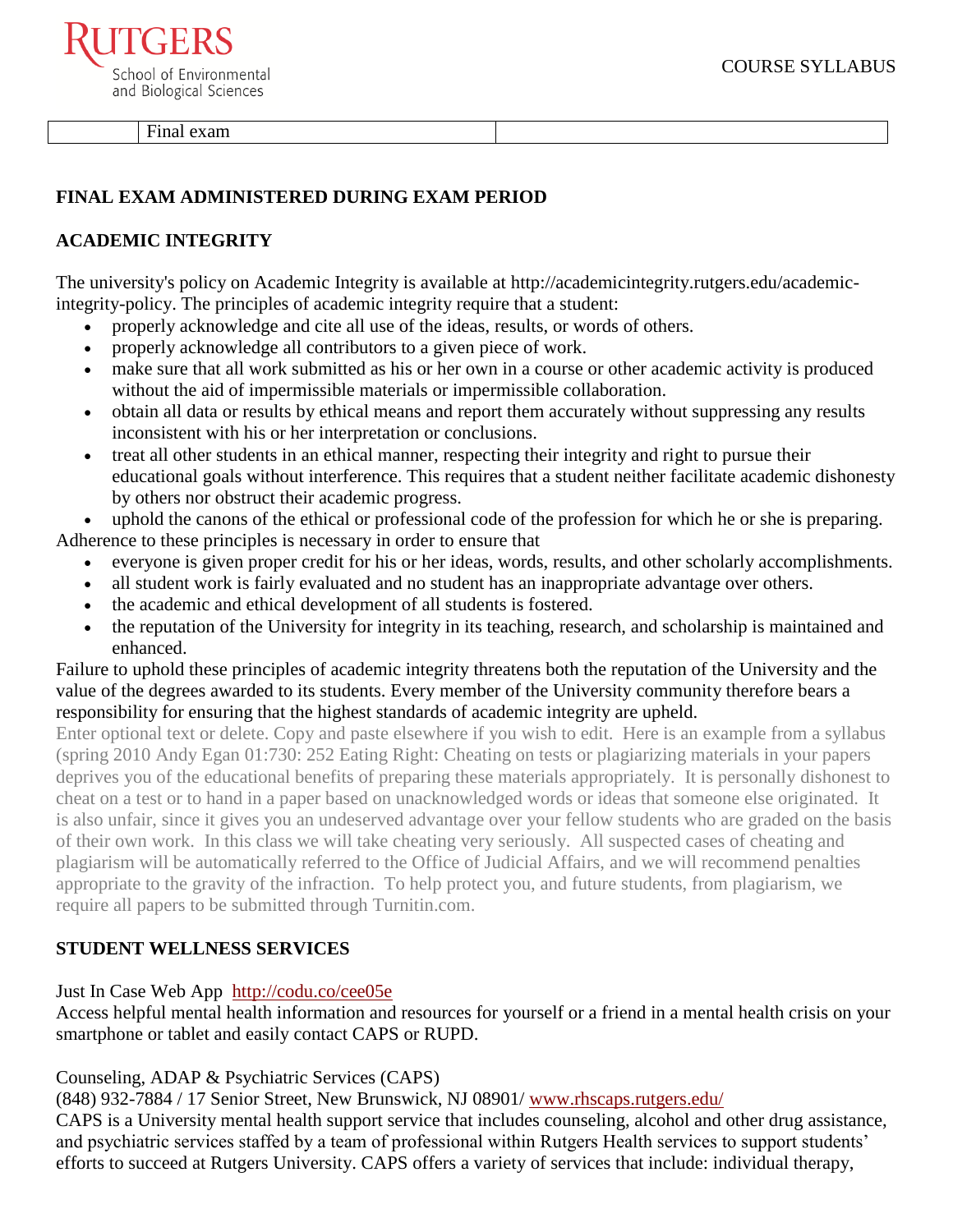**TGERS** School of Environmental and Biological Sciences

Final exam

# **FINAL EXAM ADMINISTERED DURING EXAM PERIOD**

# **ACADEMIC INTEGRITY**

The university's policy on Academic Integrity is available at [http://academicintegrity.rutgers.edu/academic](http://academicintegrity.rutgers.edu/academic-integrity-policy)[integrity-policy.](http://academicintegrity.rutgers.edu/academic-integrity-policy) The principles of academic integrity require that a student:

- properly acknowledge and cite all use of the ideas, results, or words of others.
- properly acknowledge all contributors to a given piece of work.
- make sure that all work submitted as his or her own in a course or other academic activity is produced without the aid of impermissible materials or impermissible collaboration.
- obtain all data or results by ethical means and report them accurately without suppressing any results inconsistent with his or her interpretation or conclusions.
- treat all other students in an ethical manner, respecting their integrity and right to pursue their educational goals without interference. This requires that a student neither facilitate academic dishonesty by others nor obstruct their academic progress.

 uphold the canons of the ethical or professional code of the profession for which he or she is preparing. Adherence to these principles is necessary in order to ensure that

- everyone is given proper credit for his or her ideas, words, results, and other scholarly accomplishments.
- all student work is fairly evaluated and no student has an inappropriate advantage over others.
- the academic and ethical development of all students is fostered.
- the reputation of the University for integrity in its teaching, research, and scholarship is maintained and enhanced.

Failure to uphold these principles of academic integrity threatens both the reputation of the University and the value of the degrees awarded to its students. Every member of the University community therefore bears a responsibility for ensuring that the highest standards of academic integrity are upheld.

Enter optional text or delete. Copy and paste elsewhere if you wish to edit. Here is an example from a syllabus (spring 2010 Andy Egan 01:730: 252 Eating Right: Cheating on tests or plagiarizing materials in your papers deprives you of the educational benefits of preparing these materials appropriately. It is personally dishonest to cheat on a test or to hand in a paper based on unacknowledged words or ideas that someone else originated. It is also unfair, since it gives you an undeserved advantage over your fellow students who are graded on the basis of their own work. In this class we will take cheating very seriously. All suspected cases of cheating and plagiarism will be automatically referred to the Office of Judicial Affairs, and we will recommend penalties appropriate to the gravity of the infraction. To help protect you, and future students, from plagiarism, we require all papers to be submitted through Turnitin.com.

### **STUDENT WELLNESS SERVICES**

[Just In Case Web App](http://m.appcreatorpro.com/m/rutgers/fda9f59ca5/fda9f59ca5.html) <http://codu.co/cee05e>

Access helpful mental health information and resources for yourself or a friend in a mental health crisis on your smartphone or tablet and easily contact CAPS or RUPD.

#### Counseling, ADAP & Psychiatric Services (CAPS)

(848) 932-7884 / 17 Senior Street, New Brunswick, NJ 08901/ [www.rhscaps.rutgers.edu/](http://www.rhscaps.rutgers.edu/)

CAPS is a University mental health support service that includes counseling, alcohol and other drug assistance, and psychiatric services staffed by a team of professional within Rutgers Health services to support students' efforts to succeed at Rutgers University. CAPS offers a variety of services that include: individual therapy,